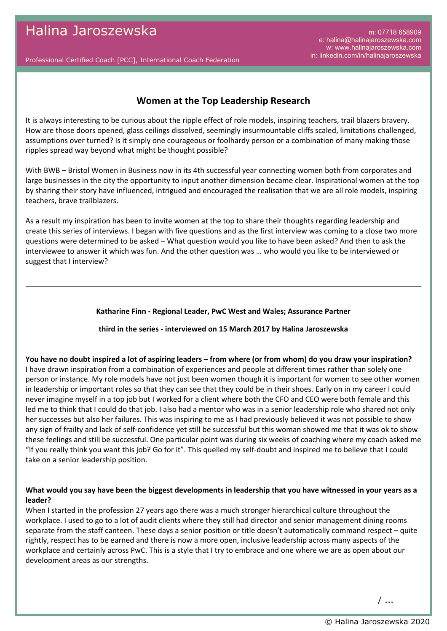m: 07718 658909 e: halina@halinajaroszewska.com w: www.halinajaroszewska.com in: linkedin.com/in/halinajaroszewska

Professional Certified Coach [PCC], International Coach Federation

# **Women at the Top Leadership Research**

It is always interesting to be curious about the ripple effect of role models, inspiring teachers, trail blazers bravery. How are those doors opened, glass ceilings dissolved, seemingly insurmountable cliffs scaled, limitations challenged, assumptions over turned? Is it simply one courageous or foolhardy person or a combination of many making those ripples spread way beyond what might be thought possible?

With BWB – Bristol Women in Business now in its 4th successful year connecting women both from corporates and large businesses in the city the opportunity to input another dimension became clear. Inspirational women at the top by sharing their story have influenced, intrigued and encouraged the realisation that we are all role models, inspiring teachers, brave trailblazers.

As a result my inspiration has been to invite women at the top to share their thoughts regarding leadership and create this series of interviews. I began with five questions and as the first interview was coming to a close two more questions were determined to be asked – What question would you like to have been asked? And then to ask the interviewee to answer it which was fun. And the other question was … who would you like to be interviewed or suggest that I interview?

#### **Katharine Finn - Regional Leader, PwC West and Wales; Assurance Partner**

#### **third in the series - interviewed on 15 March 2017 by Halina Jaroszewska**

**You have no doubt inspired a lot of aspiring leaders – from where (or from whom) do you draw your inspiration?** I have drawn inspiration from a combination of experiences and people at different times rather than solely one person or instance. My role models have not just been women though it is important for women to see other women in leadership or important roles so that they can see that they could be in their shoes. Early on in my career I could never imagine myself in a top job but I worked for a client where both the CFO and CEO were both female and this led me to think that I could do that job. I also had a mentor who was in a senior leadership role who shared not only her successes but also her failures. This was inspiring to me as I had previously believed it was not possible to show any sign of frailty and lack of self-confidence yet still be successful but this woman showed me that it was ok to show these feelings and still be successful. One particular point was during six weeks of coaching where my coach asked me "If you really think you want this job? Go for it". This quelled my self-doubt and inspired me to believe that I could take on a senior leadership position.

### **What would you say have been the biggest developments in leadership that you have witnessed in your years as a leader?**

When I started in the profession 27 years ago there was a much stronger hierarchical culture throughout the workplace. I used to go to a lot of audit clients where they still had director and senior management dining rooms separate from the staff canteen. These days a senior position or title doesn't automatically command respect – quite rightly, respect has to be earned and there is now a more open, inclusive leadership across many aspects of the workplace and certainly across PwC. This is a style that I try to embrace and one where we are as open about our development areas as our strengths.